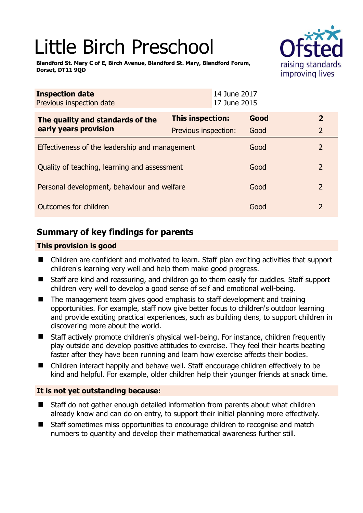# Little Birch Preschool

raising standards improving lives

**Blandford St. Mary C of E, Birch Avenue, Blandford St. Mary, Blandford Forum, Dorset, DT11 9QD** 

| <b>Inspection date</b><br>Previous inspection date        | 14 June 2017<br>17 June 2015 |      |                |
|-----------------------------------------------------------|------------------------------|------|----------------|
| The quality and standards of the<br>early years provision | This inspection:             | Good | $\mathbf{2}$   |
|                                                           | Previous inspection:         | Good | $\overline{2}$ |
| Effectiveness of the leadership and management            |                              | Good | 2              |
| Quality of teaching, learning and assessment              |                              | Good | $\overline{2}$ |
| Personal development, behaviour and welfare               |                              | Good | $\overline{2}$ |
| Outcomes for children                                     |                              | Good | $\overline{2}$ |

# **Summary of key findings for parents**

## **This provision is good**

**Inspection date**

- Children are confident and motivated to learn. Staff plan exciting activities that support children's learning very well and help them make good progress.
- Staff are kind and reassuring, and children go to them easily for cuddles. Staff support children very well to develop a good sense of self and emotional well-being.
- The management team gives good emphasis to staff development and training opportunities. For example, staff now give better focus to children's outdoor learning and provide exciting practical experiences, such as building dens, to support children in discovering more about the world.
- Staff actively promote children's physical well-being. For instance, children frequently play outside and develop positive attitudes to exercise. They feel their hearts beating faster after they have been running and learn how exercise affects their bodies.
- Children interact happily and behave well. Staff encourage children effectively to be kind and helpful. For example, older children help their younger friends at snack time.

### **It is not yet outstanding because:**

- Staff do not gather enough detailed information from parents about what children already know and can do on entry, to support their initial planning more effectively.
- Staff sometimes miss opportunities to encourage children to recognise and match numbers to quantity and develop their mathematical awareness further still.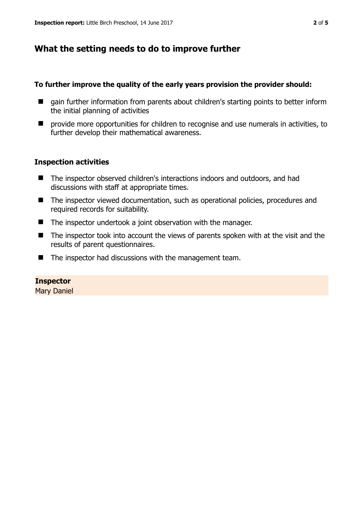# **What the setting needs to do to improve further**

#### **To further improve the quality of the early years provision the provider should:**

- gain further information from parents about children's starting points to better inform the initial planning of activities
- $\blacksquare$  provide more opportunities for children to recognise and use numerals in activities, to further develop their mathematical awareness.

#### **Inspection activities**

- The inspector observed children's interactions indoors and outdoors, and had discussions with staff at appropriate times.
- The inspector viewed documentation, such as operational policies, procedures and required records for suitability.
- The inspector undertook a joint observation with the manager.
- The inspector took into account the views of parents spoken with at the visit and the results of parent questionnaires.
- The inspector had discussions with the management team.

#### **Inspector**

Mary Daniel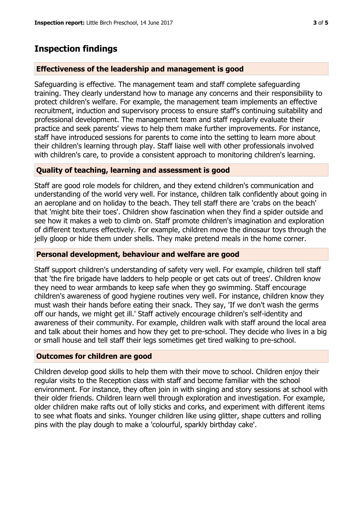## **Inspection findings**

#### **Effectiveness of the leadership and management is good**

Safeguarding is effective. The management team and staff complete safeguarding training. They clearly understand how to manage any concerns and their responsibility to protect children's welfare. For example, the management team implements an effective recruitment, induction and supervisory process to ensure staff's continuing suitability and professional development. The management team and staff regularly evaluate their practice and seek parents' views to help them make further improvements. For instance, staff have introduced sessions for parents to come into the setting to learn more about their children's learning through play. Staff liaise well with other professionals involved with children's care, to provide a consistent approach to monitoring children's learning.

#### **Quality of teaching, learning and assessment is good**

Staff are good role models for children, and they extend children's communication and understanding of the world very well. For instance, children talk confidently about going in an aeroplane and on holiday to the beach. They tell staff there are 'crabs on the beach' that 'might bite their toes'. Children show fascination when they find a spider outside and see how it makes a web to climb on. Staff promote children's imagination and exploration of different textures effectively. For example, children move the dinosaur toys through the jelly gloop or hide them under shells. They make pretend meals in the home corner.

#### **Personal development, behaviour and welfare are good**

Staff support children's understanding of safety very well. For example, children tell staff that 'the fire brigade have ladders to help people or get cats out of trees'. Children know they need to wear armbands to keep safe when they go swimming. Staff encourage children's awareness of good hygiene routines very well. For instance, children know they must wash their hands before eating their snack. They say, 'If we don't wash the germs off our hands, we might get ill.' Staff actively encourage children's self-identity and awareness of their community. For example, children walk with staff around the local area and talk about their homes and how they get to pre-school. They decide who lives in a big or small house and tell staff their legs sometimes get tired walking to pre-school.

#### **Outcomes for children are good**

Children develop good skills to help them with their move to school. Children enjoy their regular visits to the Reception class with staff and become familiar with the school environment. For instance, they often join in with singing and story sessions at school with their older friends. Children learn well through exploration and investigation. For example, older children make rafts out of lolly sticks and corks, and experiment with different items to see what floats and sinks. Younger children like using glitter, shape cutters and rolling pins with the play dough to make a 'colourful, sparkly birthday cake'.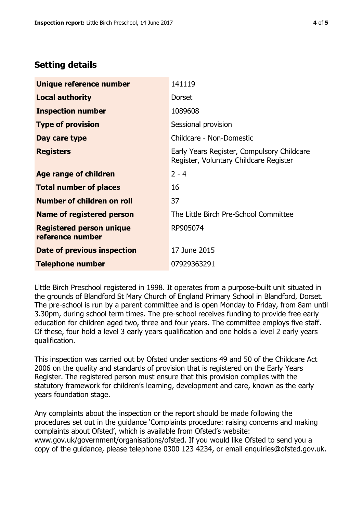# **Setting details**

| Unique reference number                             | 141119                                                                               |  |
|-----------------------------------------------------|--------------------------------------------------------------------------------------|--|
| <b>Local authority</b>                              | <b>Dorset</b>                                                                        |  |
| <b>Inspection number</b>                            | 1089608                                                                              |  |
| <b>Type of provision</b>                            | Sessional provision                                                                  |  |
| Day care type                                       | Childcare - Non-Domestic                                                             |  |
| <b>Registers</b>                                    | Early Years Register, Compulsory Childcare<br>Register, Voluntary Childcare Register |  |
| Age range of children                               | $2 - 4$                                                                              |  |
| <b>Total number of places</b>                       | 16                                                                                   |  |
| Number of children on roll                          | 37                                                                                   |  |
| Name of registered person                           | The Little Birch Pre-School Committee                                                |  |
| <b>Registered person unique</b><br>reference number | RP905074                                                                             |  |
| <b>Date of previous inspection</b>                  | 17 June 2015                                                                         |  |
| <b>Telephone number</b>                             | 07929363291                                                                          |  |

Little Birch Preschool registered in 1998. It operates from a purpose-built unit situated in the grounds of Blandford St Mary Church of England Primary School in Blandford, Dorset. The pre-school is run by a parent committee and is open Monday to Friday, from 8am until 3.30pm, during school term times. The pre-school receives funding to provide free early education for children aged two, three and four years. The committee employs five staff. Of these, four hold a level 3 early years qualification and one holds a level 2 early years qualification.

This inspection was carried out by Ofsted under sections 49 and 50 of the Childcare Act 2006 on the quality and standards of provision that is registered on the Early Years Register. The registered person must ensure that this provision complies with the statutory framework for children's learning, development and care, known as the early years foundation stage.

Any complaints about the inspection or the report should be made following the procedures set out in the guidance 'Complaints procedure: raising concerns and making complaints about Ofsted', which is available from Ofsted's website: www.gov.uk/government/organisations/ofsted. If you would like Ofsted to send you a copy of the guidance, please telephone 0300 123 4234, or email enquiries@ofsted.gov.uk.